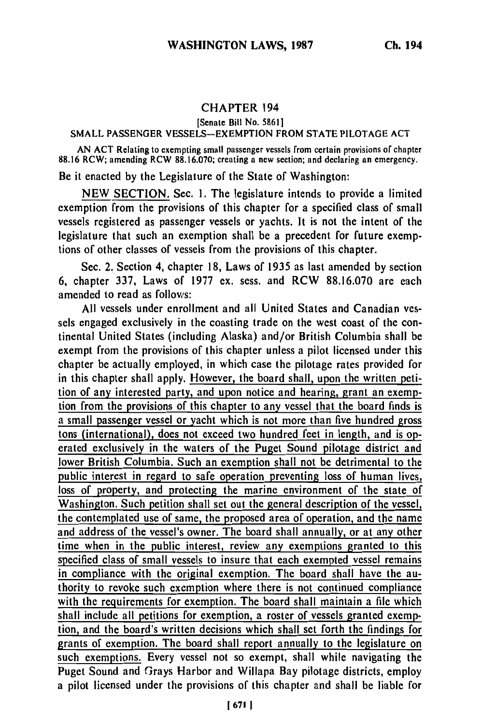## **CHAPTER** 194

[Senate Bill No. **5861]**

## **SMALL PASSENGER VESSELS-EXEMPTION** FROM **STATE PILOTAGE ACT**

**AN ACT** Relating to exempting small passenger vessels from certain provisions of chapter **88.16** RCW; amending RCW **88,16.070;** creating a new section; and declaring an emergency.

Be it enacted **by** the Legislature of the State of Washington:

**NEW SECTION.** Sec. **1.** The legislature intends to provide a limited exemption from the provisions of this chapter for a specified class of small vessels registered as passenger vessels or yachts. It is not the intent of the legislature that such an exemption shall be a precedent for future exemptions of other classes of vessels from the provisions of this chapter.

Sec. 2. Section 4, chapter **18,** Laws of **1935** as last amended **by** section 6, chapter 337, Laws of **1977** ex. sess. and RCW **88.16.070** are each amended to read as follows:

**All** vessels under enrollment and all United States and Canadian vessels engaged exclusively in the coasting trade on the west coast of the continental United States (including Alaska) and/or British Columbia shall be exempt from the provisions of this chapter unless a pilot licensed under this chapter be actually employed, in which case the pilotage rates provided for in this chapter shall apply. However, the board shall, upon the written petition of any interested party, and upon notice and hearing, grant an exemption from the provisions of this chapter to any vessel that the board finds is a small passenger vessel or yacht which is not more than five hundred gross tons (international), does not exceed two hundred feet in length, and is operated exclusively in the waters of the Puget Sound pilotage district and lower British Columbia. Such an exemption shall not be detrimental to the public interest in regard to safe operation preventing loss of human **lives,** loss of property, and protecting the marine environment of the state of Washington. Such petition shall set out the general description of the vessel, the contemplated use of same, the proposed area of operation, and the name and address of the vessel's owner. The board shall annually, or at any other time when in the public interest, review any exemptions granted to this specified class of small vessels to insure that each exempted vessel remains in compliance with the original exemption. The board shall have the authority to revoke such exemption where there is not continued compliance with the requirements for exemption. The board shall maintain a file which shall include all petitions for exemption, a roster of vessels granted exemption, and the board's written decisions which shall set forth the findings for grants of exemption. The board shall report annually to the legislature on such exemptions. Every vessel not so exempt, shall while navigating the Puget Sound and Grays Harbor and Willapa Bay pilotage districts, employ a pilot licensed under the provisions of this chapter and shall be liable for